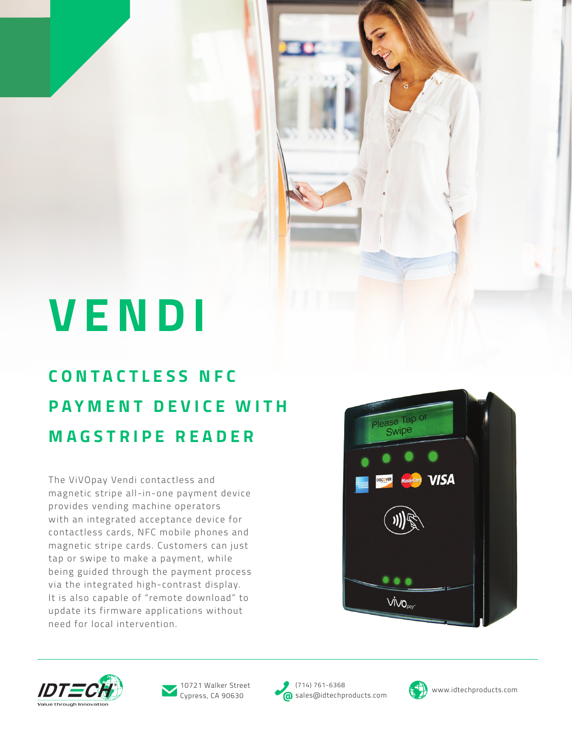# **VENDI**

### **C O N T A C T L E S S N F C PAYMENT DEVICE WITH MAGSTRIPE READER**

The ViVOpay Vendi contactless and magnetic stripe all-in-one payment device provides vending machine operators with an integrated acceptance device for contactless cards, NFC mobile phones and magnetic stripe cards. Customers can just tap or swipe to make a payment, while being guided through the payment process via the integrated high-contrast display. It is also capable of "remote download" to update its firmware applications without need for local intervention.







Cypress, CA 90630